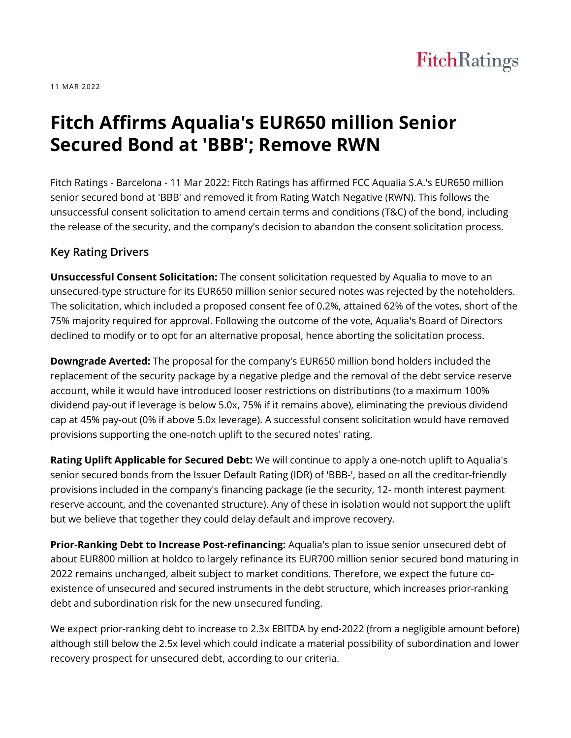# FitchRatings

11 MAR 2022

# **Fitch Affirms Aqualia's EUR650 million Senior Secured Bond at 'BBB'; Remove RWN**

Fitch Ratings - Barcelona - 11 Mar 2022: Fitch Ratings has affirmed FCC Aqualia S.A.'s EUR650 million senior secured bond at 'BBB' and removed it from Rating Watch Negative (RWN). This follows the unsuccessful consent solicitation to amend certain terms and conditions (T&C) of the bond, including the release of the security, and the company's decision to abandon the consent solicitation process.

#### **Key Rating Drivers**

**Unsuccessful Consent Solicitation:** The consent solicitation requested by Aqualia to move to an unsecured-type structure for its EUR650 million senior secured notes was rejected by the noteholders. The solicitation, which included a proposed consent fee of 0.2%, attained 62% of the votes, short of the 75% majority required for approval. Following the outcome of the vote, Aqualia's Board of Directors declined to modify or to opt for an alternative proposal, hence aborting the solicitation process.

**Downgrade Averted:** The proposal for the company's EUR650 million bond holders included the replacement of the security package by a negative pledge and the removal of the debt service reserve account, while it would have introduced looser restrictions on distributions (to a maximum 100% dividend pay-out if leverage is below 5.0x, 75% if it remains above), eliminating the previous dividend cap at 45% pay-out (0% if above 5.0x leverage). A successful consent solicitation would have removed provisions supporting the one-notch uplift to the secured notes' rating.

**Rating Uplift Applicable for Secured Debt:** We will continue to apply a one-notch uplift to Aqualia's senior secured bonds from the Issuer Default Rating (IDR) of 'BBB-', based on all the creditor-friendly provisions included in the company's financing package (ie the security, 12- month interest payment reserve account, and the covenanted structure). Any of these in isolation would not support the uplift but we believe that together they could delay default and improve recovery.

**Prior-Ranking Debt to Increase Post-refinancing:** Aqualia's plan to issue senior unsecured debt of about EUR800 million at holdco to largely refinance its EUR700 million senior secured bond maturing in 2022 remains unchanged, albeit subject to market conditions. Therefore, we expect the future coexistence of unsecured and secured instruments in the debt structure, which increases prior-ranking debt and subordination risk for the new unsecured funding.

We expect prior-ranking debt to increase to 2.3x EBITDA by end-2022 (from a negligible amount before) although still below the 2.5x level which could indicate a material possibility of subordination and lower recovery prospect for unsecured debt, according to our criteria.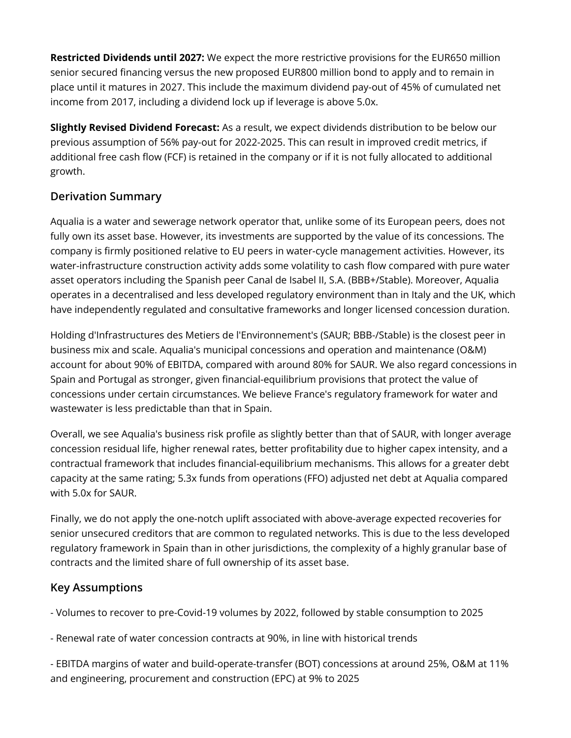**Restricted Dividends until 2027:** We expect the more restrictive provisions for the EUR650 million senior secured financing versus the new proposed EUR800 million bond to apply and to remain in place until it matures in 2027. This include the maximum dividend pay-out of 45% of cumulated net income from 2017, including a dividend lock up if leverage is above 5.0x.

**Slightly Revised Dividend Forecast:** As a result, we expect dividends distribution to be below our previous assumption of 56% pay-out for 2022-2025. This can result in improved credit metrics, if additional free cash flow (FCF) is retained in the company or if it is not fully allocated to additional growth.

## **Derivation Summary**

Aqualia is a water and sewerage network operator that, unlike some of its European peers, does not fully own its asset base. However, its investments are supported by the value of its concessions. The company is firmly positioned relative to EU peers in water-cycle management activities. However, its water-infrastructure construction activity adds some volatility to cash flow compared with pure water asset operators including the Spanish peer Canal de Isabel II, S.A. (BBB+/Stable). Moreover, Aqualia operates in a decentralised and less developed regulatory environment than in Italy and the UK, which have independently regulated and consultative frameworks and longer licensed concession duration.

Holding d'Infrastructures des Metiers de l'Environnement's (SAUR; BBB-/Stable) is the closest peer in business mix and scale. Aqualia's municipal concessions and operation and maintenance (O&M) account for about 90% of EBITDA, compared with around 80% for SAUR. We also regard concessions in Spain and Portugal as stronger, given financial-equilibrium provisions that protect the value of concessions under certain circumstances. We believe France's regulatory framework for water and wastewater is less predictable than that in Spain.

Overall, we see Aqualia's business risk profile as slightly better than that of SAUR, with longer average concession residual life, higher renewal rates, better profitability due to higher capex intensity, and a contractual framework that includes financial-equilibrium mechanisms. This allows for a greater debt capacity at the same rating; 5.3x funds from operations (FFO) adjusted net debt at Aqualia compared with 5.0x for SAUR.

Finally, we do not apply the one-notch uplift associated with above-average expected recoveries for senior unsecured creditors that are common to regulated networks. This is due to the less developed regulatory framework in Spain than in other jurisdictions, the complexity of a highly granular base of contracts and the limited share of full ownership of its asset base.

## **Key Assumptions**

- Volumes to recover to pre-Covid-19 volumes by 2022, followed by stable consumption to 2025
- Renewal rate of water concession contracts at 90%, in line with historical trends

- EBITDA margins of water and build-operate-transfer (BOT) concessions at around 25%, O&M at 11% and engineering, procurement and construction (EPC) at 9% to 2025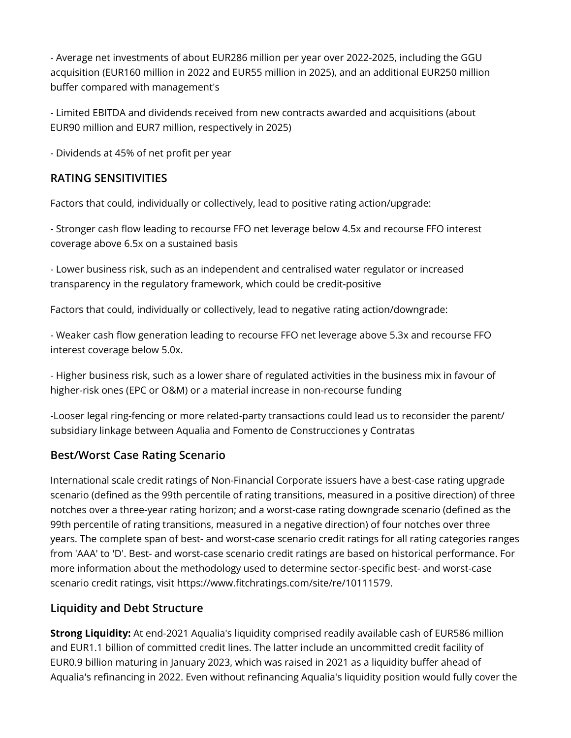- Average net investments of about EUR286 million per year over 2022-2025, including the GGU acquisition (EUR160 million in 2022 and EUR55 million in 2025), and an additional EUR250 million buffer compared with management's

- Limited EBITDA and dividends received from new contracts awarded and acquisitions (about EUR90 million and EUR7 million, respectively in 2025)

- Dividends at 45% of net profit per year

## **RATING SENSITIVITIES**

Factors that could, individually or collectively, lead to positive rating action/upgrade:

- Stronger cash flow leading to recourse FFO net leverage below 4.5x and recourse FFO interest coverage above 6.5x on a sustained basis

- Lower business risk, such as an independent and centralised water regulator or increased transparency in the regulatory framework, which could be credit-positive

Factors that could, individually or collectively, lead to negative rating action/downgrade:

- Weaker cash flow generation leading to recourse FFO net leverage above 5.3x and recourse FFO interest coverage below 5.0x.

- Higher business risk, such as a lower share of regulated activities in the business mix in favour of higher-risk ones (EPC or O&M) or a material increase in non-recourse funding

-Looser legal ring-fencing or more related-party transactions could lead us to reconsider the parent/ subsidiary linkage between Aqualia and Fomento de Construcciones y Contratas

# **Best/Worst Case Rating Scenario**

International scale credit ratings of Non-Financial Corporate issuers have a best-case rating upgrade scenario (defined as the 99th percentile of rating transitions, measured in a positive direction) of three notches over a three-year rating horizon; and a worst-case rating downgrade scenario (defined as the 99th percentile of rating transitions, measured in a negative direction) of four notches over three years. The complete span of best- and worst-case scenario credit ratings for all rating categories ranges from 'AAA' to 'D'. Best- and worst-case scenario credit ratings are based on historical performance. For more information about the methodology used to determine sector-specific best- and worst-case scenario credit ratings, visit https://www.fitchratings.com/site/re/10111579.

## **Liquidity and Debt Structure**

**Strong Liquidity:** At end-2021 Aqualia's liquidity comprised readily available cash of EUR586 million and EUR1.1 billion of committed credit lines. The latter include an uncommitted credit facility of EUR0.9 billion maturing in January 2023, which was raised in 2021 as a liquidity buffer ahead of Aqualia's refinancing in 2022. Even without refinancing Aqualia's liquidity position would fully cover the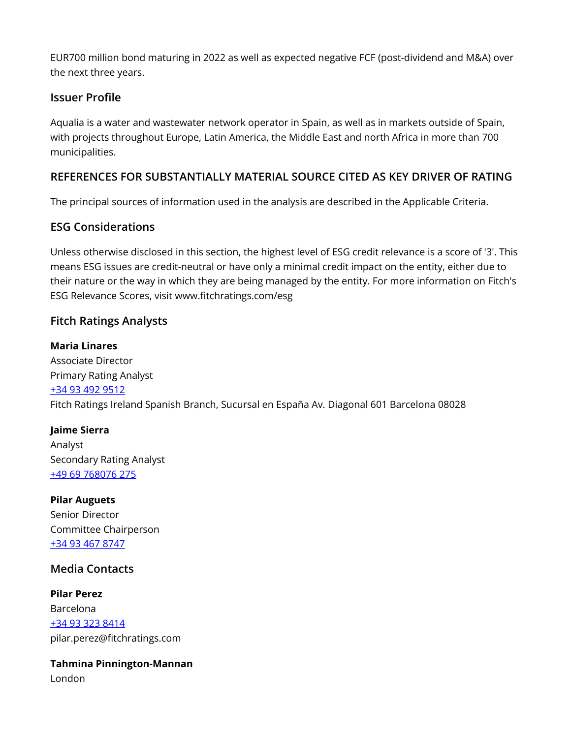EUR700 million bond maturing in 2022 as well as expected negative FCF (post-dividend and M&A) over the next three years.

## **Issuer Profile**

Aqualia is a water and wastewater network operator in Spain, as well as in markets outside of Spain, with projects throughout Europe, Latin America, the Middle East and north Africa in more than 700 municipalities.

# **REFERENCES FOR SUBSTANTIALLY MATERIAL SOURCE CITED AS KEY DRIVER OF RATING**

The principal sources of information used in the analysis are described in the Applicable Criteria.

## **ESG Considerations**

Unless otherwise disclosed in this section, the highest level of ESG credit relevance is a score of '3'. This means ESG issues are credit-neutral or have only a minimal credit impact on the entity, either due to their nature or the way in which they are being managed by the entity. For more information on Fitch's ESG Relevance Scores, visit www.fitchratings.com/esg

## **Fitch Ratings Analysts**

#### **Maria Linares**

Associate Director Primary Rating Analyst [+34 93 492 9512](tel:+34 93 492 9512) Fitch Ratings Ireland Spanish Branch, Sucursal en España Av. Diagonal 601 Barcelona 08028

#### **Jaime Sierra** Analyst Secondary Rating Analyst [+49 69 768076 275](tel:+49 69 768076 275)

**Pilar Auguets** Senior Director Committee Chairperson [+34 93 467 8747](tel:+34 93 467 8747)

## **Media Contacts**

**Pilar Perez** Barcelona [+34 93 323 8414](tel:+34 93 323 8414) pilar.perez@fitchratings.com

**Tahmina Pinnington-Mannan** London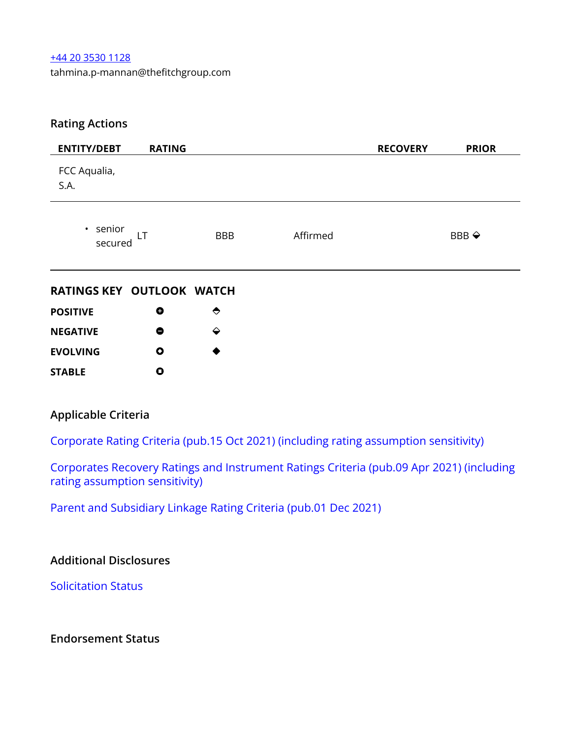#### [+44 20 3530 1128](tel:+44 20 3530 1128)

tahmina.p-mannan@thefitchgroup.com

## **Rating Actions**

| <b>ENTITY/DEBT</b>        | <b>RATING</b> |            |          | <b>RECOVERY</b> | <b>PRIOR</b>          |
|---------------------------|---------------|------------|----------|-----------------|-----------------------|
| FCC Aqualia,<br>S.A.      |               |            |          |                 |                       |
| • senior<br>LT<br>secured |               | <b>BBB</b> | Affirmed |                 | BBB $\Leftrightarrow$ |

#### **RATINGS KEY OUTLOOK WATCH**

| <b>POSITIVE</b> | O | $\leftrightarrow$ |
|-----------------|---|-------------------|
| <b>NEGATIVE</b> | 8 | ⇔                 |
| <b>EVOLVING</b> | Ο | ♠                 |
| <b>STABLE</b>   | ο |                   |

#### **Applicable Criteria**

[Corporate Rating Criteria \(pub.15 Oct 2021\) \(including rating assumption sensitivity\)](https://app.fitchconnect.com/search/research/article/RPT_10179877)

[Corporates Recovery Ratings and Instrument Ratings Criteria \(pub.09 Apr 2021\) \(including](https://app.fitchconnect.com/search/research/article/RPT_10157358) [rating assumption sensitivity\)](https://app.fitchconnect.com/search/research/article/RPT_10157358)

[Parent and Subsidiary Linkage Rating Criteria \(pub.01 Dec 2021\)](https://app.fitchconnect.com/search/research/article/RPT_10184683)

## **Additional Disclosures**

[Solicitation Status](https://www.fitchratings.com/research/corporate-finance/fitch-affirms-aqualia-eur650-million-senior-secured-bond-at-bbb-remove-rwn-11-03-2022#solicitation-status)

**Endorsement Status**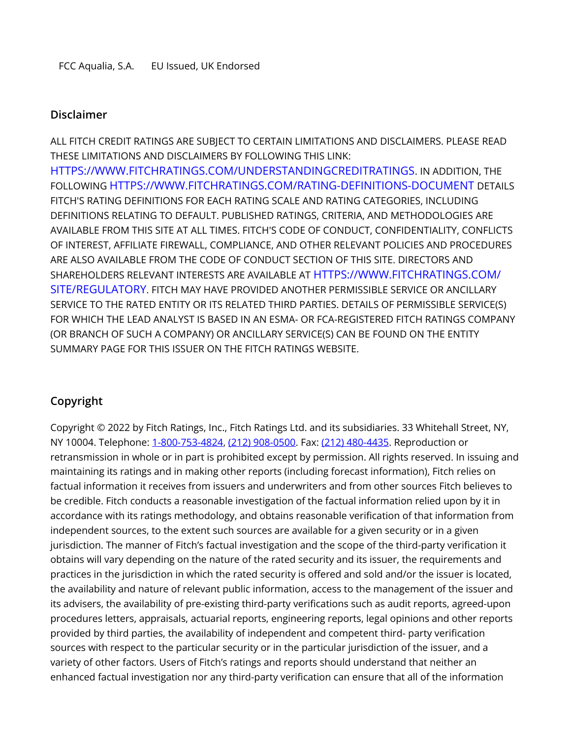#### **Disclaimer**

ALL FITCH CREDIT RATINGS ARE SUBJECT TO CERTAIN LIMITATIONS AND DISCLAIMERS. PLEASE READ THESE LIMITATIONS AND DISCLAIMERS BY FOLLOWING THIS LINK: [HTTPS://WWW.FITCHRATINGS.COM/UNDERSTANDINGCREDITRATINGS](https://www.fitchratings.com/UNDERSTANDINGCREDITRATINGS). IN ADDITION, THE FOLLOWING [HTTPS://WWW.FITCHRATINGS.COM/RATING-DEFINITIONS-DOCUMENT](https://www.fitchratings.com/rating-definitions-document) DETAILS FITCH'S RATING DEFINITIONS FOR EACH RATING SCALE AND RATING CATEGORIES, INCLUDING DEFINITIONS RELATING TO DEFAULT. PUBLISHED RATINGS, CRITERIA, AND METHODOLOGIES ARE AVAILABLE FROM THIS SITE AT ALL TIMES. FITCH'S CODE OF CONDUCT, CONFIDENTIALITY, CONFLICTS OF INTEREST, AFFILIATE FIREWALL, COMPLIANCE, AND OTHER RELEVANT POLICIES AND PROCEDURES ARE ALSO AVAILABLE FROM THE CODE OF CONDUCT SECTION OF THIS SITE. DIRECTORS AND SHAREHOLDERS RELEVANT INTERESTS ARE AVAILABLE AT [HTTPS://WWW.FITCHRATINGS.COM/](https://www.fitchratings.com/site/regulatory) [SITE/REGULATORY](https://www.fitchratings.com/site/regulatory). FITCH MAY HAVE PROVIDED ANOTHER PERMISSIBLE SERVICE OR ANCILLARY SERVICE TO THE RATED ENTITY OR ITS RELATED THIRD PARTIES. DETAILS OF PERMISSIBLE SERVICE(S) FOR WHICH THE LEAD ANALYST IS BASED IN AN ESMA- OR FCA-REGISTERED FITCH RATINGS COMPANY (OR BRANCH OF SUCH A COMPANY) OR ANCILLARY SERVICE(S) CAN BE FOUND ON THE ENTITY SUMMARY PAGE FOR THIS ISSUER ON THE FITCH RATINGS WEBSITE.

# **Copyright**

Copyright © 2022 by Fitch Ratings, Inc., Fitch Ratings Ltd. and its subsidiaries. 33 Whitehall Street, NY, NY 10004. Telephone: [1-800-753-4824](tel:1-800-753-4824), [\(212\) 908-0500](tel:(212) 908-0500). Fax: [\(212\) 480-4435](tel:(212) 480-4435). Reproduction or retransmission in whole or in part is prohibited except by permission. All rights reserved. In issuing and maintaining its ratings and in making other reports (including forecast information), Fitch relies on factual information it receives from issuers and underwriters and from other sources Fitch believes to be credible. Fitch conducts a reasonable investigation of the factual information relied upon by it in accordance with its ratings methodology, and obtains reasonable verification of that information from independent sources, to the extent such sources are available for a given security or in a given jurisdiction. The manner of Fitch's factual investigation and the scope of the third-party verification it obtains will vary depending on the nature of the rated security and its issuer, the requirements and practices in the jurisdiction in which the rated security is offered and sold and/or the issuer is located, the availability and nature of relevant public information, access to the management of the issuer and its advisers, the availability of pre-existing third-party verifications such as audit reports, agreed-upon procedures letters, appraisals, actuarial reports, engineering reports, legal opinions and other reports provided by third parties, the availability of independent and competent third- party verification sources with respect to the particular security or in the particular jurisdiction of the issuer, and a variety of other factors. Users of Fitch's ratings and reports should understand that neither an enhanced factual investigation nor any third-party verification can ensure that all of the information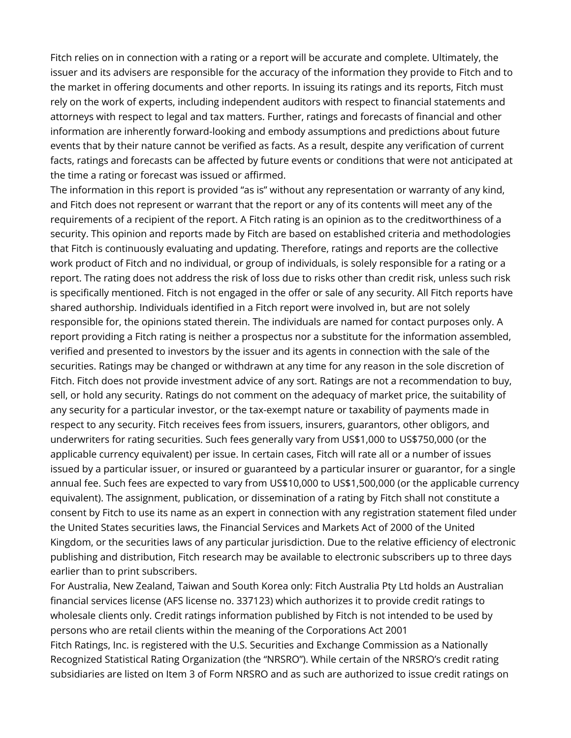Fitch relies on in connection with a rating or a report will be accurate and complete. Ultimately, the issuer and its advisers are responsible for the accuracy of the information they provide to Fitch and to the market in offering documents and other reports. In issuing its ratings and its reports, Fitch must rely on the work of experts, including independent auditors with respect to financial statements and attorneys with respect to legal and tax matters. Further, ratings and forecasts of financial and other information are inherently forward-looking and embody assumptions and predictions about future events that by their nature cannot be verified as facts. As a result, despite any verification of current facts, ratings and forecasts can be affected by future events or conditions that were not anticipated at the time a rating or forecast was issued or affirmed.

The information in this report is provided "as is" without any representation or warranty of any kind, and Fitch does not represent or warrant that the report or any of its contents will meet any of the requirements of a recipient of the report. A Fitch rating is an opinion as to the creditworthiness of a security. This opinion and reports made by Fitch are based on established criteria and methodologies that Fitch is continuously evaluating and updating. Therefore, ratings and reports are the collective work product of Fitch and no individual, or group of individuals, is solely responsible for a rating or a report. The rating does not address the risk of loss due to risks other than credit risk, unless such risk is specifically mentioned. Fitch is not engaged in the offer or sale of any security. All Fitch reports have shared authorship. Individuals identified in a Fitch report were involved in, but are not solely responsible for, the opinions stated therein. The individuals are named for contact purposes only. A report providing a Fitch rating is neither a prospectus nor a substitute for the information assembled, verified and presented to investors by the issuer and its agents in connection with the sale of the securities. Ratings may be changed or withdrawn at any time for any reason in the sole discretion of Fitch. Fitch does not provide investment advice of any sort. Ratings are not a recommendation to buy, sell, or hold any security. Ratings do not comment on the adequacy of market price, the suitability of any security for a particular investor, or the tax-exempt nature or taxability of payments made in respect to any security. Fitch receives fees from issuers, insurers, guarantors, other obligors, and underwriters for rating securities. Such fees generally vary from US\$1,000 to US\$750,000 (or the applicable currency equivalent) per issue. In certain cases, Fitch will rate all or a number of issues issued by a particular issuer, or insured or guaranteed by a particular insurer or guarantor, for a single annual fee. Such fees are expected to vary from US\$10,000 to US\$1,500,000 (or the applicable currency equivalent). The assignment, publication, or dissemination of a rating by Fitch shall not constitute a consent by Fitch to use its name as an expert in connection with any registration statement filed under the United States securities laws, the Financial Services and Markets Act of 2000 of the United Kingdom, or the securities laws of any particular jurisdiction. Due to the relative efficiency of electronic publishing and distribution, Fitch research may be available to electronic subscribers up to three days earlier than to print subscribers.

For Australia, New Zealand, Taiwan and South Korea only: Fitch Australia Pty Ltd holds an Australian financial services license (AFS license no. 337123) which authorizes it to provide credit ratings to wholesale clients only. Credit ratings information published by Fitch is not intended to be used by persons who are retail clients within the meaning of the Corporations Act 2001 Fitch Ratings, Inc. is registered with the U.S. Securities and Exchange Commission as a Nationally Recognized Statistical Rating Organization (the "NRSRO"). While certain of the NRSRO's credit rating subsidiaries are listed on Item 3 of Form NRSRO and as such are authorized to issue credit ratings on